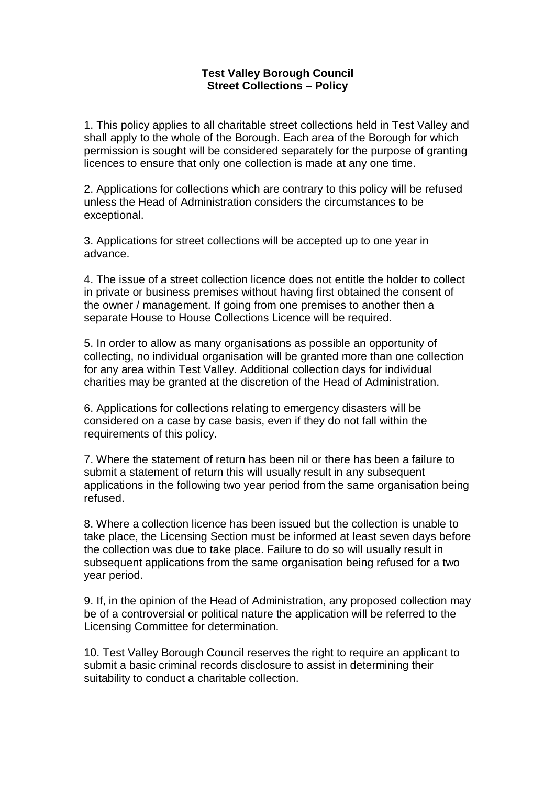## **Test Valley Borough Council Street Collections – Policy**

1. This policy applies to all charitable street collections held in Test Valley and shall apply to the whole of the Borough. Each area of the Borough for which permission is sought will be considered separately for the purpose of granting licences to ensure that only one collection is made at any one time.

2. Applications for collections which are contrary to this policy will be refused unless the Head of Administration considers the circumstances to be exceptional.

3. Applications for street collections will be accepted up to one year in advance.

4. The issue of a street collection licence does not entitle the holder to collect in private or business premises without having first obtained the consent of the owner / management. If going from one premises to another then a separate House to House Collections Licence will be required.

5. In order to allow as many organisations as possible an opportunity of collecting, no individual organisation will be granted more than one collection for any area within Test Valley. Additional collection days for individual charities may be granted at the discretion of the Head of Administration.

6. Applications for collections relating to emergency disasters will be considered on a case by case basis, even if they do not fall within the requirements of this policy.

7. Where the statement of return has been nil or there has been a failure to submit a statement of return this will usually result in any subsequent applications in the following two year period from the same organisation being refused.

8. Where a collection licence has been issued but the collection is unable to take place, the Licensing Section must be informed at least seven days before the collection was due to take place. Failure to do so will usually result in subsequent applications from the same organisation being refused for a two year period.

9. If, in the opinion of the Head of Administration, any proposed collection may be of a controversial or political nature the application will be referred to the Licensing Committee for determination.

10. Test Valley Borough Council reserves the right to require an applicant to submit a basic criminal records disclosure to assist in determining their suitability to conduct a charitable collection.